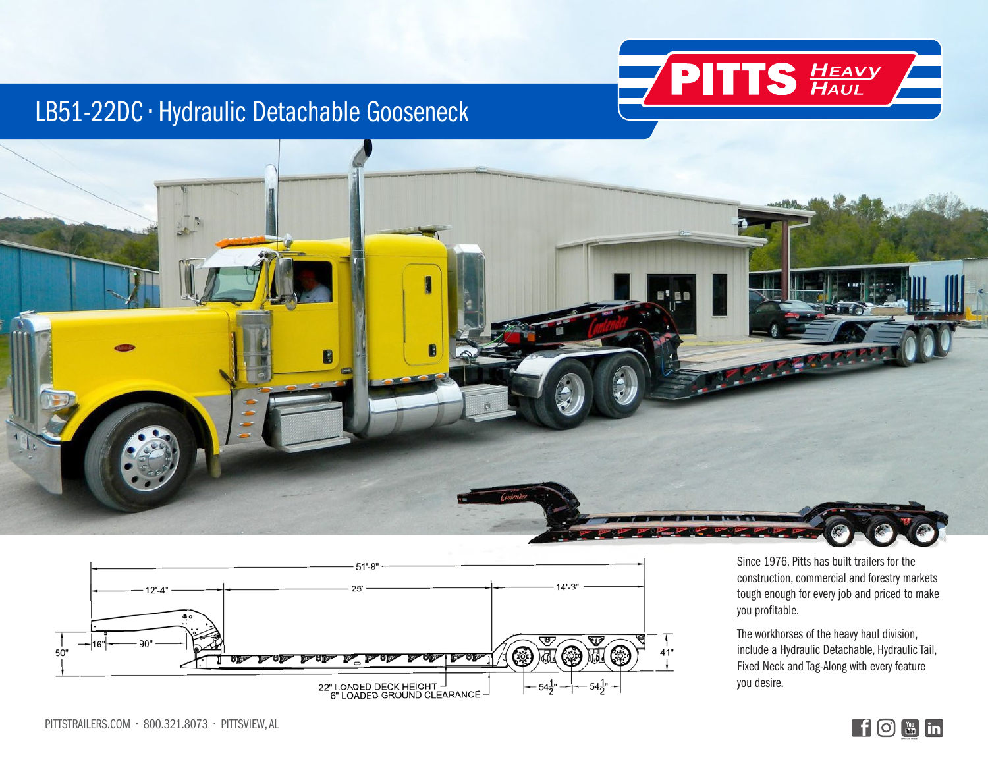

## LB51-22DC • Hydraulic Detachable Gooseneck





Since 1976, Pitts has built trailers for the construction, commercial and forestry markets tough enough for every job and priced to make you profitable.

The workhorses of the heavy haul division, include a Hydraulic Detachable, Hydraulic Tail, Fixed Neck and Tag-Along with every feature you desire.